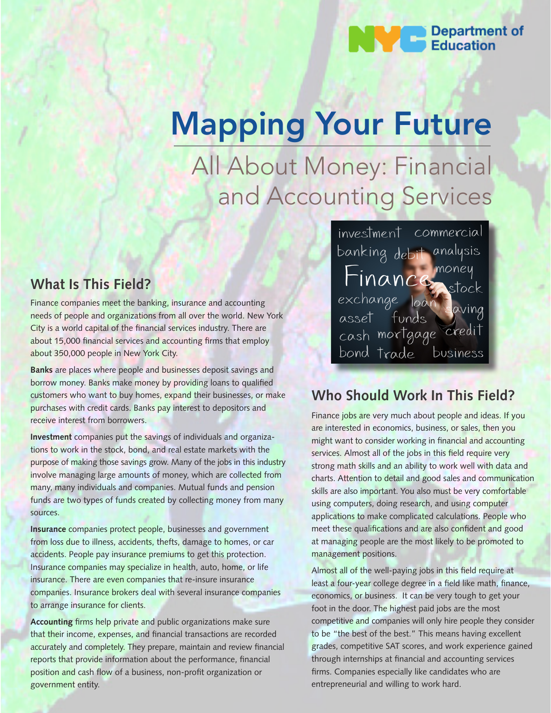

# Mapping Your Future

All About Money: Financial and Accounting Services

## **What Is This Field?**

Finance companies meet the banking, insurance and accounting needs of people and organizations from all over the world. New York City is a world capital of the financial services industry. There are about 15,000 financial services and accounting firms that employ about 350,000 people in New York City.

**Banks** are places where people and businesses deposit savings and borrow money. Banks make money by providing loans to qualified customers who want to buy homes, expand their businesses, or make purchases with credit cards. Banks pay interest to depositors and receive interest from borrowers.

**Investment** companies put the savings of individuals and organizations to work in the stock, bond, and real estate markets with the purpose of making those savings grow. Many of the jobs in this industry involve managing large amounts of money, which are collected from many, many individuals and companies. Mutual funds and pension funds are two types of funds created by collecting money from many sources.

**Insurance** companies protect people, businesses and government from loss due to illness, accidents, thefts, damage to homes, or car accidents. People pay insurance premiums to get this protection. Insurance companies may specialize in health, auto, home, or life insurance. There are even companies that re-insure insurance companies. Insurance brokers deal with several insurance companies to arrange insurance for clients.

**Accounting** firms help private and public organizations make sure that their income, expenses, and financial transactions are recorded accurately and completely. They prepare, maintain and review financial reports that provide information about the performance, financial position and cash flow of a business, non-profit organization or government entity.

investment commercial banking debit analysis Danking debit analysis<br>Finance money<br>exchange loan saving<br>asset funds cash mortgage credit bond trade business

## **Who Should Work In This Field?**

Finance jobs are very much about people and ideas. If you are interested in economics, business, or sales, then you might want to consider working in financial and accounting services. Almost all of the jobs in this field require very strong math skills and an ability to work well with data and charts. Attention to detail and good sales and communication skills are also important. You also must be very comfortable using computers, doing research, and using computer applications to make complicated calculations. People who meet these qualifications and are also confident and good at managing people are the most likely to be promoted to management positions.

Almost all of the well-paying jobs in this field require at least a four-year college degree in a field like math, finance, economics, or business. It can be very tough to get your foot in the door. The highest paid jobs are the most competitive and companies will only hire people they consider to be "the best of the best." This means having excellent grades, competitive SAT scores, and work experience gained through internships at financial and accounting services firms. Companies especially like candidates who are entrepreneurial and willing to work hard.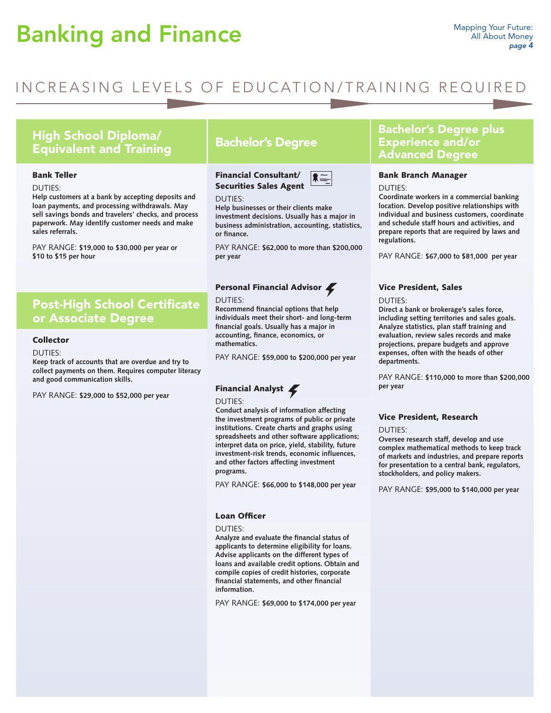# Banking and Finance

## INCREASING LEVELS OF EDUCATION/TRAINING REQUIRED

## High School Diploma/ Equivalent and Training Bachelor's Degree

#### Bank Teller

#### DUTIES:

**Help customers at a bank by accepting deposits and loan payments, and processing withdrawals. May sell savings bonds and travelers' checks, and process paperwork. May identify customer needs and make sales referrals.**

PAY RANGE: **\$19,000 to \$30,000 per year or \$10 to \$15 per hour**

## Post-High School Certificate or Associate Degree

## Collector

#### DUTIES:

**Keep track of accounts that are overdue and try to collect payments on them. Requires computer literacy and good communication skills.**

PAY RANGE: **\$29,000 to \$52,000 per year** 

Financial Consultant/ Securities Sales Agent



#### DUTIES:

**Help businesses or their clients make investment decisions. Usually has a major in business administration, accounting, statistics, or finance.**

PAY RANGE: **\$62,000 to more than \$200,000 per year**

## Personal Financial Advisor

#### DUTIES:

**Recommend financial options that help individuals meet their short- and long-term financial goals. Usually has a major in accounting, finance, economics, or mathematics.** 

PAY RANGE: **\$59,000 to \$200,000 per year**

## Financial Analyst

#### DUTIES:

**Conduct analysis of information affecting the investment programs of public or private institutions. Create charts and graphs using spreadsheets and other software applications; interpret data on price, yield, stability, future investment-risk trends, economic influences, and other factors affecting investment programs.** 

PAY RANGE: **\$66,000 to \$148,000 per year**

## Loan Officer

DUTIES:

**Analyze and evaluate the financial status of applicants to determine eligibility for loans. Advise applicants on the different types of loans and available credit options. Obtain and compile copies of credit histories, corporate financial statements, and other financial information.** 

PAY RANGE: **\$69,000 to \$174,000 per year**

## Bachelor's Degree plus Experience and/or Advanced Degree

### Bank Branch Manager

DUTIES:

**Coordinate workers in a commercial banking location. Develop positive relationships with individual and business customers, coordinate and schedule staff hours and activities, and prepare reports that are required by laws and regulations.** 

PAY RANGE: **\$67,000 to \$81,000 per year**

## Vice President, Sales

#### DUTIES:

**Direct a bank or brokerage's sales force, including setting territories and sales goals. Analyze statistics, plan staff training and evaluation, review sales records and make projections, prepare budgets and approve expenses, often with the heads of other departments.** 

PAY RANGE: **\$110,000 to more than \$200,000 per year**

#### Vice President, Research

#### DUTIES:

**Oversee research staff, develop and use complex mathematical methods to keep track of markets and industries, and prepare reports for presentation to a central bank, regulators, stockholders, and policy makers.** 

PAY RANGE: **\$95,000 to \$140,000 per year**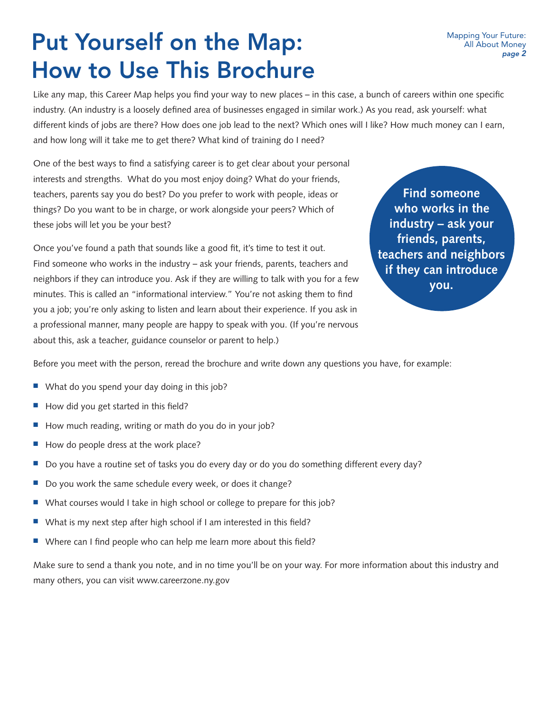# Put Yourself on the Map: How to Use This Brochure

Like any map, this Career Map helps you find your way to new places – in this case, a bunch of careers within one specific industry. (An industry is a loosely defined area of businesses engaged in similar work.) As you read, ask yourself: what different kinds of jobs are there? How does one job lead to the next? Which ones will I like? How much money can I earn, and how long will it take me to get there? What kind of training do I need?

One of the best ways to find a satisfying career is to get clear about your personal interests and strengths. What do you most enjoy doing? What do your friends, teachers, parents say you do best? Do you prefer to work with people, ideas or things? Do you want to be in charge, or work alongside your peers? Which of these jobs will let you be your best?

Once you've found a path that sounds like a good fit, it's time to test it out. Find someone who works in the industry – ask your friends, parents, teachers and neighbors if they can introduce you. Ask if they are willing to talk with you for a few minutes. This is called an "informational interview." You're not asking them to find you a job; you're only asking to listen and learn about their experience. If you ask in a professional manner, many people are happy to speak with you. (If you're nervous about this, ask a teacher, guidance counselor or parent to help.)

**Find someone who works in the industry – ask your friends, parents, teachers and neighbors if they can introduce you.**

Before you meet with the person, reread the brochure and write down any questions you have, for example:

- $\blacksquare$  What do you spend your day doing in this job?
- How did you get started in this field?
- How much reading, writing or math do you do in your job?
- $\blacksquare$  How do people dress at the work place?
- Do you have a routine set of tasks you do every day or do you do something different every day?
- Do you work the same schedule every week, or does it change?
- What courses would I take in high school or college to prepare for this job?
- $\blacksquare$  What is my next step after high school if I am interested in this field?
- $\blacksquare$  Where can I find people who can help me learn more about this field?

Make sure to send a thank you note, and in no time you'll be on your way. For more information about this industry and many others, you can visit www.careerzone.ny.gov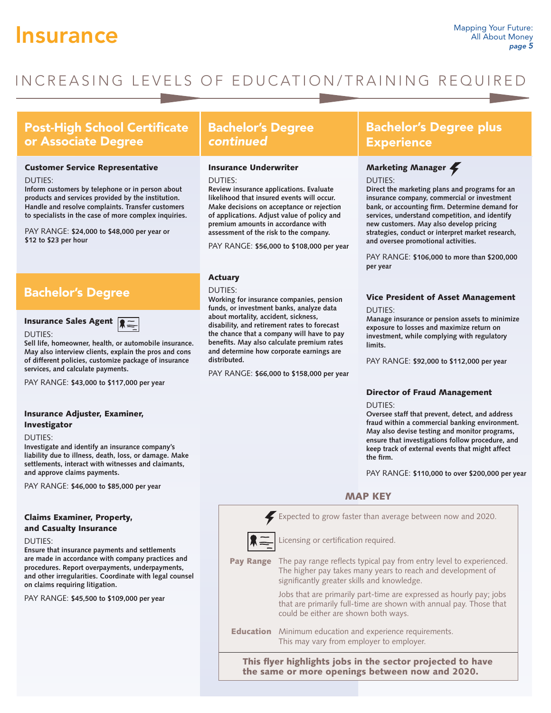## **Insurance** Mapping Your Future:

## INCREASING LEVELS OF EDUCATION/TRAINING REQUIRED

## Post-High School Certificate or Associate Degree

### Customer Service Representative

#### DUTIES:

**Inform customers by telephone or in person about products and services provided by the institution. Handle and resolve complaints. Transfer customers to specialists in the case of more complex inquiries.** 

PAY RANGE: **\$24,000 to \$48,000 per year or \$12 to \$23 per hour**

## Bachelor's Degree

## Insurance Sales Agent  $\sqrt{2}$



**Sell life, homeowner, health, or automobile insurance. May also interview clients, explain the pros and cons of different policies, customize package of insurance services, and calculate payments.** 

PAY RANGE: **\$43,000 to \$117,000 per year**

## Insurance Adjuster, Examiner, Investigator

#### DUTIES:

DUTIES:

**Investigate and identify an insurance company's liability due to illness, death, loss, or damage. Make settlements, interact with witnesses and claimants, and approve claims payments.** 

PAY RANGE: **\$46,000 to \$85,000 per year**

## Claims Examiner, Property, and Casualty Insurance

DUTIES:

**Ensure that insurance payments and settlements are made in accordance with company practices and procedures. Report overpayments, underpayments, and other irregularities. Coordinate with legal counsel on claims requiring litigation.** 

PAY RANGE: **\$45,500 to \$109,000 per year**

## Bachelor's Degree *continued*

#### Insurance Underwriter

DUTIES:

**Review insurance applications. Evaluate likelihood that insured events will occur. Make decisions on acceptance or rejection of applications. Adjust value of policy and premium amounts in accordance with assessment of the risk to the company.** 

PAY RANGE: **\$56,000 to \$108,000 per year**

## Actuary

DUTIES:

**Working for insurance companies, pension funds, or investment banks, analyze data about mortality, accident, sickness, disability, and retirement rates to forecast the chance that a company will have to pay benefits. May also calculate premium rates and determine how corporate earnings are distributed.** 

PAY RANGE: **\$66,000 to \$158,000 per year**

## Bachelor's Degree plus **Experience**

## Marketing Manager

DUTIES:

**Direct the marketing plans and programs for an insurance company, commercial or investment bank, or accounting firm. Determine demand for services, understand competition, and identify new customers. May also develop pricing strategies, conduct or interpret market research, and oversee promotional activities.** 

PAY RANGE: **\$106,000 to more than \$200,000 per year** 

## Vice President of Asset Management

DUTIES:

**Manage insurance or pension assets to minimize exposure to losses and maximize return on investment, while complying with regulatory limits.** 

PAY RANGE: **\$92,000 to \$112,000 per year** 

## Director of Fraud Management

DUTIES:

**Oversee staff that prevent, detect, and address fraud within a commercial banking environment. May also devise testing and monitor programs, ensure that investigations follow procedure, and keep track of external events that might affect the firm.** 

PAY RANGE: **\$110,000 to over \$200,000 per year** 

## MAP KEY

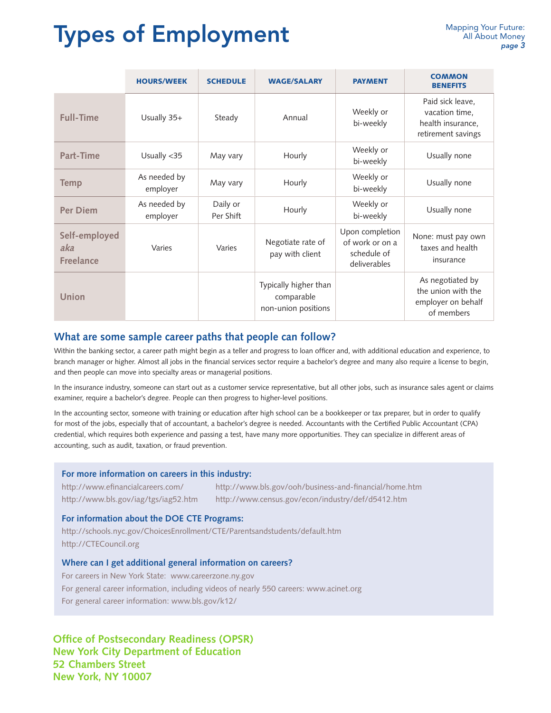# **Types of Employment** Mapping Your Future:

|                                          | <b>HOURS/WEEK</b>        | <b>SCHEDULE</b>       | <b>WAGE/SALARY</b>                                         | <b>PAYMENT</b>                                                    | <b>COMMON</b><br><b>BENEFITS</b>                                              |
|------------------------------------------|--------------------------|-----------------------|------------------------------------------------------------|-------------------------------------------------------------------|-------------------------------------------------------------------------------|
| <b>Full-Time</b>                         | Usually 35+              | Steady                | Annual                                                     | Weekly or<br>bi-weekly                                            | Paid sick leave,<br>vacation time,<br>health insurance,<br>retirement savings |
| Part-Time                                | Usually <35              | May vary              | Hourly                                                     | Weekly or<br>bi-weekly                                            | Usually none                                                                  |
| <b>Temp</b>                              | As needed by<br>employer | May vary              | Hourly                                                     | Weekly or<br>bi-weekly                                            | Usually none                                                                  |
| <b>Per Diem</b>                          | As needed by<br>employer | Daily or<br>Per Shift | Hourly                                                     | Weekly or<br>bi-weekly                                            | Usually none                                                                  |
| Self-employed<br>aka<br><b>Freelance</b> | Varies                   | Varies                | Negotiate rate of<br>pay with client                       | Upon completion<br>of work or on a<br>schedule of<br>deliverables | None: must pay own<br>taxes and health<br>insurance                           |
| Union                                    |                          |                       | Typically higher than<br>comparable<br>non-union positions |                                                                   | As negotiated by<br>the union with the<br>employer on behalf<br>of members    |

## **What are some sample career paths that people can follow?**

Within the banking sector, a career path might begin as a teller and progress to loan officer and, with additional education and experience, to branch manager or higher. Almost all jobs in the financial services sector require a bachelor's degree and many also require a license to begin, and then people can move into specialty areas or managerial positions.

In the insurance industry, someone can start out as a customer service representative, but all other jobs, such as insurance sales agent or claims examiner, require a bachelor's degree. People can then progress to higher-level positions.

In the accounting sector, someone with training or education after high school can be a bookkeeper or tax preparer, but in order to qualify for most of the jobs, especially that of accountant, a bachelor's degree is needed. Accountants with the Certified Public Accountant (CPA) credential, which requires both experience and passing a test, have many more opportunities. They can specialize in different areas of accounting, such as audit, taxation, or fraud prevention.

## **For more information on careers in this industry:**

http://www.efinancialcareers.com/ http://www.bls.gov/iag/tgs/iag52.htm http://www.bls.gov/ooh/business-and-financial/home.htm http://www.census.gov/econ/industry/def/d5412.htm

## **For information about the DOE CTE Programs:**

http://schools.nyc.gov/ChoicesEnrollment/CTE/Parentsandstudents/default.htm http://CTECouncil.org

## **Where can I get additional general information on careers?**

For careers in New York State: www.careerzone.ny.gov For general career information, including videos of nearly 550 careers: www.acinet.org For general career information: www.bls.gov/k12/

**Office of Postsecondary Readiness (OPSR) New York City Department of Education 52 Chambers Street New York, NY 10007**